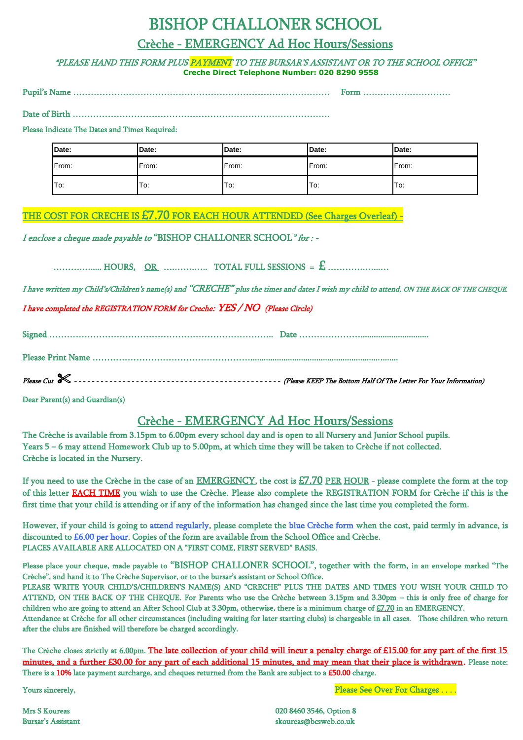# BISHOP CHALLONER SCHOOL

### Crèche - EMERGENCY Ad Hoc Hours/Sessions

\*PLEASE HAND THIS FORM PLUS PAYMENT TO THE BURSAR'S ASSISTANT OR TO THE SCHOOL OFFICE" **Creche Direct Telephone Number: 020 8290 9558**

Pupil's Name ……………………………………………………………….…………… Form …………………………

Date of Birth …………………………………………………………………………….

#### Please Indicate The Dates and Times Required:

| Date: | Date: | Date: | Date: | <b>IDate:</b> |
|-------|-------|-------|-------|---------------|
| From: | From: | From: | From: | From:         |
| To:   | To:   | To:   | To:   | To:           |

# THE COST FOR CRECHE IS £7.70 FOR EACH HOUR ATTENDED (See Charges Overleaf) -

I enclose a cheque made payable to "BISHOP CHALLONER SCHOOL" for : -

……….…..... HOURS, OR ….…….….. TOTAL FULL SESSIONS = £ ………….…...…

I have written my Child's/Children's name(s) and "CRECHE" plus the times and dates I wish my child to attend, ON THE BACK OF THE CHEQUE.

I have completed the REGISTRATION FORM for Creche: YES / NO (Please Circle)

Signed ………………………………………………………………….. Date …………………...............................

Please Print Name ………………………………………………...................................................................

Please Cut - - - - - - - - - - - - - - - - - - - - - - - - - - - - - - - - - - - - - - - - - - - - - - - (Please KEEP The Bottom Half Of The Letter For Your Information)

Dear Parent(s) and Guardian(s)

## Crèche - EMERGENCY Ad Hoc Hours/Sessions

The Crèche is available from 3.15pm to 6.00pm every school day and is open to all Nursery and Junior School pupils. Years 5 – 6 may attend Homework Club up to 5.00pm, at which time they will be taken to Crèche if not collected. Crèche is located in the Nursery.

If you need to use the Crèche in the case of an EMERGENCY, the cost is £7.70 PER HOUR - please complete the form at the top of this letter EACH TIME you wish to use the Crèche. Please also complete the REGISTRATION FORM for Crèche if this is the first time that your child is attending or if any of the information has changed since the last time you completed the form.

However, if your child is going to attend regularly, please complete the blue Crèche form when the cost, paid termly in advance, is discounted to £6.00 per hour. Copies of the form are available from the School Office and Crèche. PLACES AVAILABLE ARE ALLOCATED ON A "FIRST COME, FIRST SERVED" BASIS.

Please place your cheque, made payable to "BISHOP CHALLONER SCHOOL", together with the form, in an envelope marked "The Crèche", and hand it to The Crèche Supervisor, or to the bursar's assistant or School Office. PLEASE WRITE YOUR CHILD'S/CHILDREN'S NAME(S) AND "CRECHE" PLUS THE DATES AND TIMES YOU WISH YOUR CHILD TO

ATTEND, ON THE BACK OF THE CHEQUE. For Parents who use the Crèche between 3.15pm and 3.30pm – this is only free of charge for children who are going to attend an After School Club at 3.30pm, otherwise, there is a minimum charge of £7.70 in an EMERGENCY.

Attendance at Crèche for all other circumstances (including waiting for later starting clubs) is chargeable in all cases. Those children who return after the clubs are finished will therefore be charged accordingly.

The Crèche closes strictly at 6.00pm. The late collection of your child will incur a penalty charge of £15.00 for any part of the first 15 minutes, and a further £30.00 for any part of each additional 15 minutes, and may mean that their place is withdrawn. Please note: There is a 10% late payment surcharge, and cheques returned from the Bank are subject to a £50.00 charge.

Yours sincerely, Please See Over For Charges . . . .

Mrs S Koureas 020 8460 3546, Option 8 Bursar's Assistant skoureas@bcsweb.co.uk